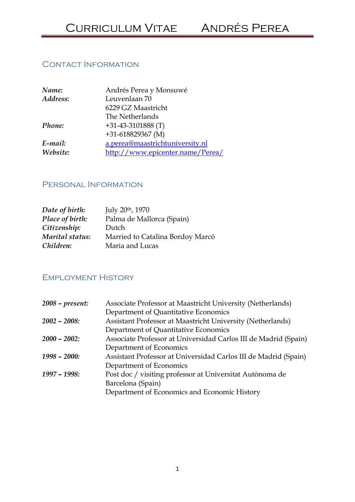# Contact Information

| Name:    | Andrés Perea y Monsuwé           |
|----------|----------------------------------|
| Address: | Leuvenlaan 70                    |
|          | 6229 GZ Maastricht               |
|          | The Netherlands                  |
| Phone:   | $+31-43-3101888$ (T)             |
|          | $+31-618829367$ (M)              |
| E-mail:  | a.perea@maastrichtuniversity.nl  |
| Website: | http://www.epicenter.name/Perea/ |

## Personal Information

| Date of birth:  | July 20th, 1970                  |
|-----------------|----------------------------------|
| Place of birth: | Palma de Mallorca (Spain)        |
| Citizenship:    | Dutch                            |
| Marital status: | Married to Catalina Bordoy Marcó |
| Children:       | Maria and Lucas                  |

### Employment History

| $2008$ – present: | Associate Professor at Maastricht University (Netherlands)      |
|-------------------|-----------------------------------------------------------------|
|                   | Department of Quantitative Economics                            |
| $2002 - 2008$     | Assistant Professor at Maastricht University (Netherlands)      |
|                   | Department of Quantitative Economics                            |
| $2000 - 2002$     | Associate Professor at Universidad Carlos III de Madrid (Spain) |
|                   | Department of Economics                                         |
| $1998 - 2000:$    | Assistant Professor at Universidad Carlos III de Madrid (Spain) |
|                   | Department of Economics                                         |
| 1997 - 1998:      | Post doc / visiting professor at Universitat Autònoma de        |
|                   | Barcelona (Spain)                                               |
|                   | Department of Economics and Economic History                    |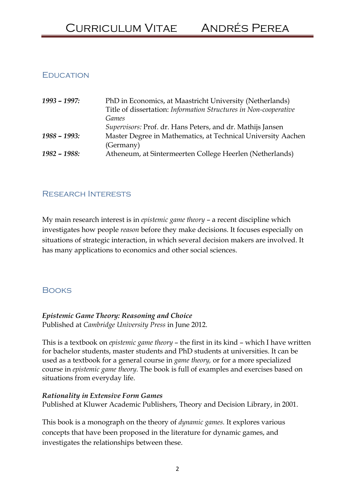# **EDUCATION**

| $1993 - 1997$ : | PhD in Economics, at Maastricht University (Netherlands)         |
|-----------------|------------------------------------------------------------------|
|                 | Title of dissertation: Information Structures in Non-cooperative |
|                 | Games                                                            |
|                 | Supervisors: Prof. dr. Hans Peters, and dr. Mathijs Jansen       |
| $1988 - 1993:$  | Master Degree in Mathematics, at Technical University Aachen     |
|                 | (Germany)                                                        |
| 1982 - 1988:    | Atheneum, at Sintermeerten College Heerlen (Netherlands)         |

# Research Interests

My main research interest is in epistemic game theory – a recent discipline which investigates how people reason before they make decisions. It focuses especially on situations of strategic interaction, in which several decision makers are involved. It has many applications to economics and other social sciences.

# **BOOKS**

#### Epistemic Game Theory: Reasoning and Choice Published at Cambridge University Press in June 2012.

This is a textbook on epistemic game theory – the first in its kind – which I have written for bachelor students, master students and PhD students at universities. It can be used as a textbook for a general course in *game theory*, or for a more specialized course in epistemic game theory. The book is full of examples and exercises based on situations from everyday life.

#### Rationality in Extensive Form Games

Published at Kluwer Academic Publishers, Theory and Decision Library, in 2001.

This book is a monograph on the theory of dynamic games. It explores various concepts that have been proposed in the literature for dynamic games, and investigates the relationships between these.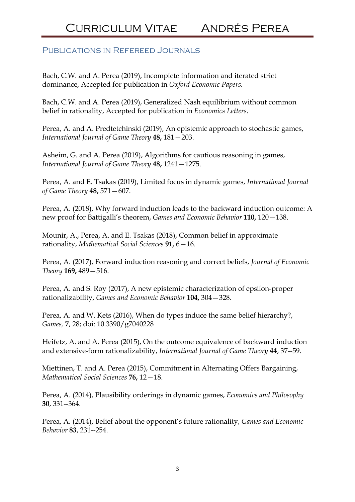#### Publications in Refereed Journals

Bach, C.W. and A. Perea (2019), Incomplete information and iterated strict dominance, Accepted for publication in Oxford Economic Papers.

Bach, C.W. and A. Perea (2019), Generalized Nash equilibrium without common belief in rationality, Accepted for publication in Economics Letters.

Perea, A. and A. Predtetchinski (2019), An epistemic approach to stochastic games, International Journal of Game Theory 48, 181—203.

Asheim, G. and A. Perea (2019), Algorithms for cautious reasoning in games, International Journal of Game Theory 48, 1241—1275.

Perea, A. and E. Tsakas (2019), Limited focus in dynamic games, International Journal of Game Theory 48, 571—607.

Perea, A. (2018), Why forward induction leads to the backward induction outcome: A new proof for Battigalli's theorem, Games and Economic Behavior 110, 120—138.

Mounir, A., Perea, A. and E. Tsakas (2018), Common belief in approximate rationality, Mathematical Social Sciences 91, 6—16.

Perea, A. (2017), Forward induction reasoning and correct beliefs, Journal of Economic Theory 169, 489—516.

Perea, A. and S. Roy (2017), A new epistemic characterization of epsilon-proper rationalizability, Games and Economic Behavior 104, 304—328.

Perea, A. and W. Kets (2016), When do types induce the same belief hierarchy?, Games, 7, 28; doi: 10.3390/g7040228

Heifetz, A. and A. Perea (2015), On the outcome equivalence of backward induction and extensive-form rationalizability, International Journal of Game Theory 44, 37--59.

Miettinen, T. and A. Perea (2015), Commitment in Alternating Offers Bargaining, Mathematical Social Sciences 76, 12—18.

Perea, A. (2014), Plausibility orderings in dynamic games, Economics and Philosophy 30, 331--364.

Perea, A. (2014), Belief about the opponent's future rationality, Games and Economic Behavior 83, 231--254.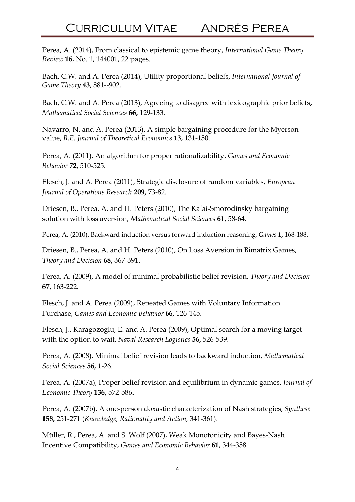Perea, A. (2014), From classical to epistemic game theory, International Game Theory Review 16, No. 1, 144001, 22 pages.

Bach, C.W. and A. Perea (2014), Utility proportional beliefs, International Journal of Game Theory 43, 881--902.

Bach, C.W. and A. Perea (2013), Agreeing to disagree with lexicographic prior beliefs, Mathematical Social Sciences 66, 129-133.

Navarro, N. and A. Perea (2013), A simple bargaining procedure for the Myerson value, B.E. Journal of Theoretical Economics 13, 131-150.

Perea, A. (2011), An algorithm for proper rationalizability, Games and Economic Behavior 72, 510-525.

Flesch, J. and A. Perea (2011), Strategic disclosure of random variables, European Journal of Operations Research 209, 73-82.

Driesen, B., Perea, A. and H. Peters (2010), The Kalai-Smorodinsky bargaining solution with loss aversion, Mathematical Social Sciences 61, 58-64.

Perea, A. (2010), Backward induction versus forward induction reasoning, Games 1, 168-188.

Driesen, B., Perea, A. and H. Peters (2010), On Loss Aversion in Bimatrix Games, Theory and Decision 68, 367-391.

Perea, A. (2009), A model of minimal probabilistic belief revision, Theory and Decision 67, 163-222.

Flesch, J. and A. Perea (2009), Repeated Games with Voluntary Information Purchase, Games and Economic Behavior 66, 126-145.

Flesch, J., Karagozoglu, E. and A. Perea (2009), Optimal search for a moving target with the option to wait, Naval Research Logistics 56, 526-539.

Perea, A. (2008), Minimal belief revision leads to backward induction, Mathematical Social Sciences 56, 1-26.

Perea, A. (2007a), Proper belief revision and equilibrium in dynamic games, Journal of Economic Theory 136, 572-586.

Perea, A. (2007b), A one-person doxastic characterization of Nash strategies, Synthese 158, 251-271 (Knowledge, Rationality and Action, 341-361).

Müller, R., Perea, A. and S. Wolf (2007), Weak Monotonicity and Bayes-Nash Incentive Compatibility, Games and Economic Behavior 61, 344-358.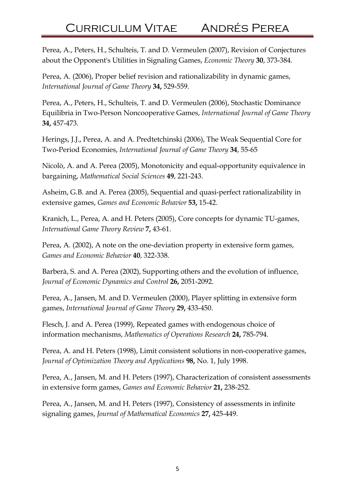Perea, A., Peters, H., Schulteis, T. and D. Vermeulen (2007), Revision of Conjectures about the Opponent's Utilities in Signaling Games, Economic Theory 30, 373-384.

Perea, A. (2006), Proper belief revision and rationalizability in dynamic games, International Journal of Game Theory 34, 529-559.

Perea, A., Peters, H., Schulteis, T. and D. Vermeulen (2006), Stochastic Dominance Equilibria in Two-Person Noncooperative Games, International Journal of Game Theory 34, 457-473.

Herings, J.J., Perea, A. and A. Predtetchinski (2006), The Weak Sequential Core for Two-Period Economies, International Journal of Game Theory 34, 55-65.

Nicolò, A. and A. Perea (2005), Monotonicity and equal-opportunity equivalence in bargaining, Mathematical Social Sciences 49, 221-243.

Asheim, G.B. and A. Perea (2005), Sequential and quasi-perfect rationalizability in extensive games, Games and Economic Behavior 53, 15-42.

Kranich, L., Perea, A. and H. Peters (2005), Core concepts for dynamic TU-games, International Game Theory Review 7, 43-61.

Perea, A. (2002), A note on the one-deviation property in extensive form games, Games and Economic Behavior 40, 322-338.

Barberà, S. and A. Perea (2002), Supporting others and the evolution of influence, Journal of Economic Dynamics and Control 26, 2051-2092.

Perea, A., Jansen, M. and D. Vermeulen (2000), Player splitting in extensive form games, International Journal of Game Theory 29, 433-450.

Flesch, J. and A. Perea (1999), Repeated games with endogenous choice of information mechanisms, Mathematics of Operations Research 24, 785-794.

Perea, A. and H. Peters (1998), Limit consistent solutions in non-cooperative games, Journal of Optimization Theory and Applications 98, No. 1, July 1998.

Perea, A., Jansen, M. and H. Peters (1997), Characterization of consistent assessments in extensive form games, Games and Economic Behavior 21, 238-252.

Perea, A., Jansen, M. and H. Peters (1997), Consistency of assessments in infinite signaling games, Journal of Mathematical Economics 27, 425-449.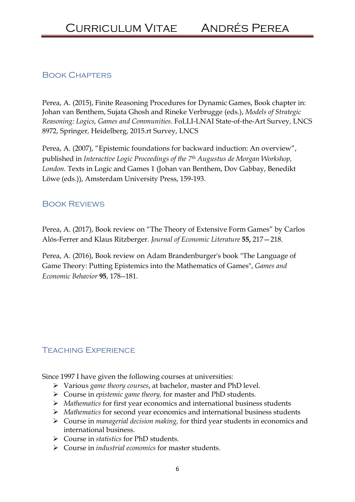## Book Chapters

Perea, A. (2015), Finite Reasoning Procedures for Dynamic Games, Book chapter in: Johan van Benthem, Sujata Ghosh and Rineke Verbrugge (eds.), Models of Strategic Reasoning: Logics, Games and Communities. FoLLI-LNAI State-of-the-Art Survey, LNCS 8972, Springer, Heidelberg, 2015.rt Survey, LNCS

Perea, A. (2007), "Epistemic foundations for backward induction: An overview", published in Interactive Logic Proceedings of the 7<sup>th</sup> Augustus de Morgan Workshop, London. Texts in Logic and Games 1 (Johan van Benthem, Dov Gabbay, Benedikt Löwe (eds.)), Amsterdam University Press, 159-193.

#### Book Reviews

Perea, A. (2017), Book review on "The Theory of Extensive Form Games" by Carlos Alós-Ferrer and Klaus Ritzberger. Journal of Economic Literature 55, 217—218.

Perea, A. (2016), Book review on Adam Brandenburger's book "The Language of Game Theory: Putting Epistemics into the Mathematics of Games", Games and Economic Behavior 95, 178--181.

## Teaching Experience

Since 1997 I have given the following courses at universities:

- Various game theory courses, at bachelor, master and PhD level.
- $\triangleright$  Course in *epistemic game theory*, for master and PhD students.
- $\triangleright$  Mathematics for first year economics and international business students
- $\triangleright$  Mathematics for second year economics and international business students
- $\triangleright$  Course in *managerial decision making*, for third year students in economics and international business.
- Course in statistics for PhD students.
- $\triangleright$  Course in *industrial economics* for master students.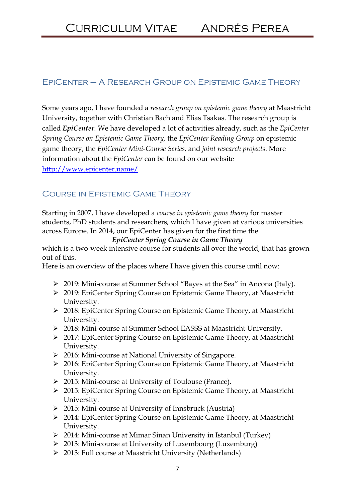### EpiCenter – A Research Group on Epistemic Game Theory

Some years ago, I have founded a research group on epistemic game theory at Maastricht University, together with Christian Bach and Elias Tsakas. The research group is called *EpiCenter*. We have developed a lot of activities already, such as the *EpiCenter* Spring Course on Epistemic Game Theory, the EpiCenter Reading Group on epistemic game theory, the EpiCenter Mini-Course Series, and joint research projects. More information about the *EpiCenter* can be found on our website http://www.epicenter.name/

# Course in Epistemic Game Theory

Starting in 2007, I have developed a course in epistemic game theory for master students, PhD students and researchers, which I have given at various universities across Europe. In 2014, our EpiCenter has given for the first time the

#### EpiCenter Spring Course in Game Theory

which is a two-week intensive course for students all over the world, that has grown out of this.

Here is an overview of the places where I have given this course until now:

- 2019: Mini-course at Summer School "Bayes at the Sea" in Ancona (Italy).
- 2019: EpiCenter Spring Course on Epistemic Game Theory, at Maastricht University.
- 2018: EpiCenter Spring Course on Epistemic Game Theory, at Maastricht University.
- 2018: Mini-course at Summer School EASSS at Maastricht University.
- 2017: EpiCenter Spring Course on Epistemic Game Theory, at Maastricht University.
- > 2016: Mini-course at National University of Singapore.
- > 2016: EpiCenter Spring Course on Epistemic Game Theory, at Maastricht University.
- 2015: Mini-course at University of Toulouse (France).
- 2015: EpiCenter Spring Course on Epistemic Game Theory, at Maastricht University.
- 2015: Mini-course at University of Innsbruck (Austria)
- 2014: EpiCenter Spring Course on Epistemic Game Theory, at Maastricht University.
- 2014: Mini-course at Mimar Sinan University in Istanbul (Turkey)
- 2013: Mini-course at University of Luxembourg (Luxemburg)
- 2013: Full course at Maastricht University (Netherlands)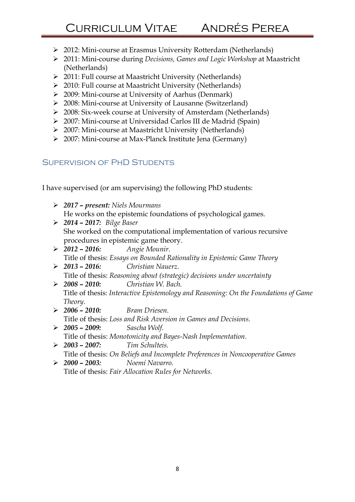- 2012: Mini-course at Erasmus University Rotterdam (Netherlands)
- 2011: Mini-course during Decisions, Games and Logic Workshop at Maastricht (Netherlands)
- 2011: Full course at Maastricht University (Netherlands)
- 2010: Full course at Maastricht University (Netherlands)
- 2009: Mini-course at University of Aarhus (Denmark)
- 2008: Mini-course at University of Lausanne (Switzerland)
- 2008: Six-week course at University of Amsterdam (Netherlands)
- 2007: Mini-course at Universidad Carlos III de Madrid (Spain)
- 2007: Mini-course at Maastricht University (Netherlands)
- 2007: Mini-course at Max-Planck Institute Jena (Germany)

# Supervision of PhD Students

I have supervised (or am supervising) the following PhD students:

- $\geq 2017$  present: Niels Mourmans He works on the epistemic foundations of psychological games.
- $\geq 2014 2017$ : Bilge Baser She worked on the computational implementation of various recursive procedures in epistemic game theory.
- $\geq 2012 2016$ : Angie Mounir. Title of thesis: Essays on Bounded Rationality in Epistemic Game Theory
- $\geq 2013 2016$ : Christian Nauerz. Title of thesis: Reasoning about (strategic) decisions under uncertainty
- 2008 2010: Christian W. Bach. Title of thesis: Interactive Epistemology and Reasoning: On the Foundations of Game Theory.
- $\geq 2006 2010$ : Bram Driesen. Title of thesis: Loss and Risk Aversion in Games and Decisions.
- $\geq 2005 2009$ : Sascha Wolf. Title of thesis: Monotonicity and Bayes-Nash Implementation.
- $\geq 2003 2007$ : Tim Schulteis.
- Title of thesis: On Beliefs and Incomplete Preferences in Noncooperative Games 2000 – 2003: Noemí Navarro.

Title of thesis: Fair Allocation Rules for Networks.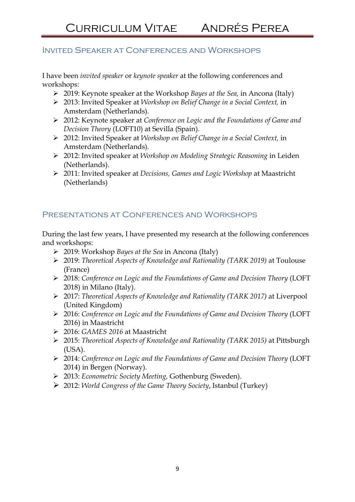#### Invited Speaker at Conferences and Workshops

I have been invited speaker or keynote speaker at the following conferences and workshops:

- $\geq$  2019: Keynote speaker at the Workshop Bayes at the Sea, in Ancona (Italy)
- 2013: Invited Speaker at Workshop on Belief Change in a Social Context, in Amsterdam (Netherlands).
- 2012: Keynote speaker at Conference on Logic and the Foundations of Game and Decision Theory (LOFT10) at Sevilla (Spain).
- 2012: Invited Speaker at Workshop on Belief Change in a Social Context, in Amsterdam (Netherlands).
- ▶ 2012: Invited speaker at Workshop on Modeling Strategic Reasoning in Leiden (Netherlands).
- ▶ 2011: Invited speaker at Decisions, Games and Logic Workshop at Maastricht (Netherlands)

## Presentations at Conferences and Workshops

During the last few years, I have presented my research at the following conferences and workshops:

- ▶ 2019: Workshop Bayes at the Sea in Ancona (Italy)
- 2019: Theoretical Aspects of Knowledge and Rationality (TARK 2019) at Toulouse (France)
- ▶ 2018: Conference on Logic and the Foundations of Game and Decision Theory (LOFT 2018) in Milano (Italy).
- 2017: Theoretical Aspects of Knowledge and Rationality (TARK 2017) at Liverpool (United Kingdom)
- 2016: Conference on Logic and the Foundations of Game and Decision Theory (LOFT 2016) in Maastricht
- 2016: GAMES 2016 at Maastricht
- 2015: Theoretical Aspects of Knowledge and Rationality (TARK 2015) at Pittsburgh (USA).
- 2014: Conference on Logic and the Foundations of Game and Decision Theory (LOFT 2014) in Bergen (Norway).
- 2013: Econometric Society Meeting, Gothenburg (Sweden).
- 2012: World Congress of the Game Theory Society, Istanbul (Turkey)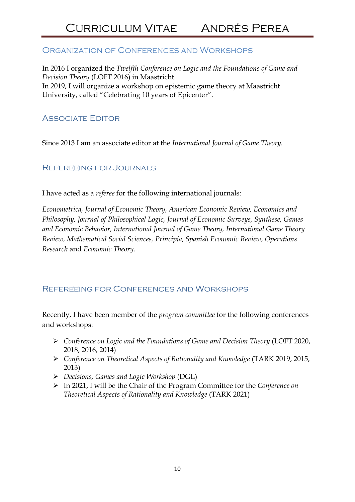### Organization of Conferences and Workshops

In 2016 I organized the Twelfth Conference on Logic and the Foundations of Game and Decision Theory (LOFT 2016) in Maastricht. In 2019, I will organize a workshop on epistemic game theory at Maastricht University, called "Celebrating 10 years of Epicenter".

### Associate Editor

Since 2013 I am an associate editor at the International Journal of Game Theory.

Refereeing for Journals

I have acted as a referee for the following international journals:

Econometrica, Journal of Economic Theory, American Economic Review, Economics and Philosophy, Journal of Philosophical Logic, Journal of Economic Surveys, Synthese, Games and Economic Behavior, International Journal of Game Theory, International Game Theory Review, Mathematical Social Sciences, Principia, Spanish Economic Review, Operations Research and Economic Theory.

## Refereeing for Conferences and Workshops

Recently, I have been member of the program committee for the following conferences and workshops:

- Conference on Logic and the Foundations of Game and Decision Theory (LOFT 2020, 2018, 2016, 2014)
- Conference on Theoretical Aspects of Rationality and Knowledge (TARK 2019, 2015, 2013)
- Decisions, Games and Logic Workshop (DGL)
- $\triangleright$  In 2021, I will be the Chair of the Program Committee for the Conference on Theoretical Aspects of Rationality and Knowledge (TARK 2021)